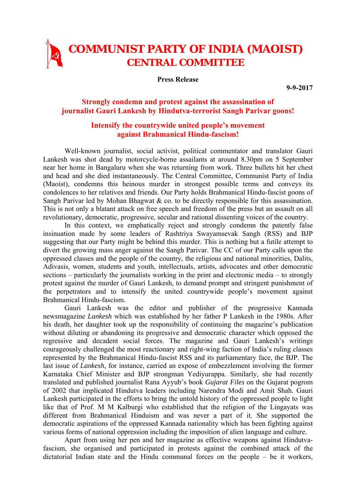## **COMMUNIST PARTY OF INDIA (MAOIST) CENTRAL COMMITTEE**

**Press Release** 

**9-9-2017** 

## **Strongly condemn and protest against the assassination of journalist Gauri Lankesh by Hindutva-terrorist Sangh Parivar goons!**

## **Intensify the countrywide united people's movement against Brahmanical Hindu-fascism!**

Well-known journalist, social activist, political commentator and translator Gauri Lankesh was shot dead by motorcycle-borne assailants at around 8.30pm on 5 September near her home in Bangaluru when she was returning from work. Three bullets hit her chest and head and she died instantaneously. The Central Committee, Communist Party of India (Maoist), condemns this heinous murder in strongest possible terms and conveys its condolences to her relatives and friends. Our Party holds Brahmanical Hindu-fascist goons of Sangh Parivar led by Mohan Bhagwat & co. to be directly responsible for this assassination. This is not only a blatant attack on free speech and freedom of the press but an assault on all revolutionary, democratic, progressive, secular and rational dissenting voices of the country.

In this context, we emphatically reject and strongly condemn the patently false insinuation made by some leaders of Rashtriya Swayamsevak Sangh (RSS) and BJP suggesting that our Party might be behind this murder. This is nothing but a futile attempt to divert the growing mass anger against the Sangh Parivar. The CC of our Party calls upon the oppressed classes and the people of the country, the religious and national minorities, Dalits, Adivasis, women, students and youth, intellectuals, artists, advocates and other democratic sections – particularly the journalists working in the print and electronic media – to strongly protest against the murder of Gauri Lankesh, to demand prompt and stringent punishment of the perpetrators and to intensify the united countrywide people's movement against Brahmanical Hindu-fascism.

Gauri Lankesh was the editor and publisher of the progressive Kannada newsmagazine *Lankesh* which was established by her father P Lankesh in the 1980s. After his death, her daughter took up the responsibility of continuing the magazine's publication without diluting or abandoning its progressive and democratic character which opposed the regressive and decadent social forces. The magazine and Gauri Lankesh's writings courageously challenged the most reactionary and right-wing faction of India's ruling classes represented by the Brahmanical Hindu-fascist RSS and its parliamentary face, the BJP. The last issue of *Lankesh*, for instance, carried an expose of embezzlement involving the former Karnataka Chief Minister and BJP strongman Yediyurappa. Similarly, she had recently translated and published journalist Rana Ayyub's book *Gujarat Files* on the Gujarat pogrom of 2002 that implicated Hindutva leaders including Narendra Modi and Amit Shah. Gauri Lankesh participated in the efforts to bring the untold history of the oppressed people to light like that of Prof. M M Kalburgi who established that the religion of the Lingayats was different from Brahmanical Hinduism and was never a part of it. She supported the democratic aspirations of the oppressed Kannada nationality which has been fighting against various forms of national oppression including the imposition of alien language and culture.

Apart from using her pen and her magazine as effective weapons against Hindutvafascism, she organised and participated in protests against the combined attack of the dictatorial Indian state and the Hindu communal forces on the people – be it workers,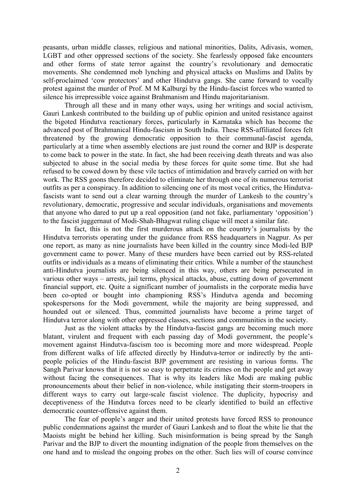peasants, urban middle classes, religious and national minorities, Dalits, Adivasis, women, LGBT and other oppressed sections of the society. She fearlessly opposed fake encounters and other forms of state terror against the country's revolutionary and democratic movements. She condemned mob lynching and physical attacks on Muslims and Dalits by self-proclaimed 'cow protectors' and other Hindutva gangs. She came forward to vocally protest against the murder of Prof. M M Kalburgi by the Hindu-fascist forces who wanted to silence his irrepressible voice against Brahmanism and Hindu majoritarianism.

Through all these and in many other ways, using her writings and social activism, Gauri Lankesh contributed to the building up of public opinion and united resistance against the bigoted Hindutva reactionary forces, particularly in Karnataka which has become the advanced post of Brahmanical Hindu-fascism in South India. These RSS-affiliated forces felt threatened by the growing democratic opposition to their communal-fascist agenda, particularly at a time when assembly elections are just round the corner and BJP is desperate to come back to power in the state. In fact, she had been receiving death threats and was also subjected to abuse in the social media by these forces for quite some time. But she had refused to be cowed down by these vile tactics of intimidation and bravely carried on with her work. The RSS goons therefore decided to eliminate her through one of its numerous terrorist outfits as per a conspiracy. In addition to silencing one of its most vocal critics, the Hindutvafascists want to send out a clear warning through the murder of Lankesh to the country's revolutionary, democratic, progressive and secular individuals, organisations and movements that anyone who dared to put up a real opposition (and not fake, parliamentary 'opposition') to the fascist juggernaut of Modi-Shah-Bhagwat ruling clique will meet a similar fate.

In fact, this is not the first murderous attack on the country's journalists by the Hindutva terrorists operating under the guidance from RSS headquarters in Nagpur. As per one report, as many as nine journalists have been killed in the country since Modi-led BJP government came to power. Many of these murders have been carried out by RSS-related outfits or individuals as a means of eliminating their critics. While a number of the staunchest anti-Hindutva journalists are being silenced in this way, others are being persecuted in various other ways – arrests, jail terms, physical attacks, abuse, cutting down of government financial support, etc. Quite a significant number of journalists in the corporate media have been co-opted or bought into championing RSS's Hindutva agenda and becoming spokespersons for the Modi government, while the majority are being suppressed, and hounded out or silenced. Thus, committed journalists have become a prime target of Hindutva terror along with other oppressed classes, sections and communities in the society.

Just as the violent attacks by the Hindutva-fascist gangs are becoming much more blatant, virulent and frequent with each passing day of Modi government, the people's movement against Hindutva-fascism too is becoming more and more widespread. People from different walks of life affected directly by Hindutva-terror or indirectly by the antipeople policies of the Hindu-fascist BJP government are resisting in various forms. The Sangh Parivar knows that it is not so easy to perpetrate its crimes on the people and get away without facing the consequences. That is why its leaders like Modi are making public pronouncements about their belief in non-violence, while instigating their storm-troopers in different ways to carry out large-scale fascist violence. The duplicity, hypocrisy and deceptiveness of the Hindutva forces need to be clearly identified to build an effective democratic counter-offensive against them.

The fear of people's anger and their united protests have forced RSS to pronounce public condemnations against the murder of Gauri Lankesh and to float the white lie that the Maoists might be behind her killing. Such misinformation is being spread by the Sangh Parivar and the BJP to divert the mounting indignation of the people from themselves on the one hand and to mislead the ongoing probes on the other. Such lies will of course convince